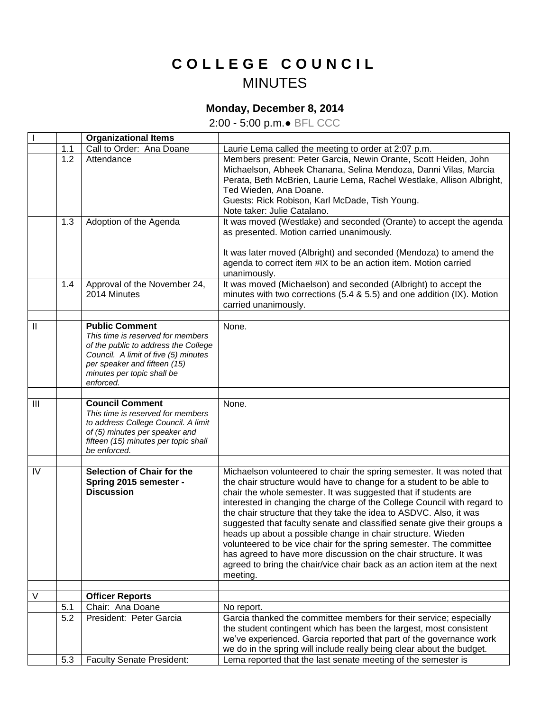## **C O L L E G E C O U N C I L** MINUTES

## **Monday, December 8, 2014**

2:00 - 5:00 p.m.● BFL CCC

| $\mathbf{I}$   |     | <b>Organizational Items</b>                                                                                                                                                                                           |                                                                                                                                                                                                                                                                                                                                                                                                                                                                                                                                                                                                                                                                                                                                                 |
|----------------|-----|-----------------------------------------------------------------------------------------------------------------------------------------------------------------------------------------------------------------------|-------------------------------------------------------------------------------------------------------------------------------------------------------------------------------------------------------------------------------------------------------------------------------------------------------------------------------------------------------------------------------------------------------------------------------------------------------------------------------------------------------------------------------------------------------------------------------------------------------------------------------------------------------------------------------------------------------------------------------------------------|
|                | 1.1 | Call to Order: Ana Doane                                                                                                                                                                                              | Laurie Lema called the meeting to order at 2:07 p.m.                                                                                                                                                                                                                                                                                                                                                                                                                                                                                                                                                                                                                                                                                            |
|                | 1.2 | Attendance                                                                                                                                                                                                            | Members present: Peter Garcia, Newin Orante, Scott Heiden, John<br>Michaelson, Abheek Chanana, Selina Mendoza, Danni Vilas, Marcia<br>Perata, Beth McBrien, Laurie Lema, Rachel Westlake, Allison Albright,<br>Ted Wieden, Ana Doane.<br>Guests: Rick Robison, Karl McDade, Tish Young.<br>Note taker: Julie Catalano.                                                                                                                                                                                                                                                                                                                                                                                                                          |
|                | 1.3 | Adoption of the Agenda                                                                                                                                                                                                | It was moved (Westlake) and seconded (Orante) to accept the agenda<br>as presented. Motion carried unanimously.                                                                                                                                                                                                                                                                                                                                                                                                                                                                                                                                                                                                                                 |
|                |     |                                                                                                                                                                                                                       | It was later moved (Albright) and seconded (Mendoza) to amend the<br>agenda to correct item #IX to be an action item. Motion carried<br>unanimously.                                                                                                                                                                                                                                                                                                                                                                                                                                                                                                                                                                                            |
|                | 1.4 | Approval of the November 24,<br>2014 Minutes                                                                                                                                                                          | It was moved (Michaelson) and seconded (Albright) to accept the<br>minutes with two corrections (5.4 & 5.5) and one addition (IX). Motion<br>carried unanimously.                                                                                                                                                                                                                                                                                                                                                                                                                                                                                                                                                                               |
| $\mathbf{I}$   |     | <b>Public Comment</b><br>This time is reserved for members<br>of the public to address the College<br>Council. A limit of five (5) minutes<br>per speaker and fifteen (15)<br>minutes per topic shall be<br>enforced. | None.                                                                                                                                                                                                                                                                                                                                                                                                                                                                                                                                                                                                                                                                                                                                           |
| $\mathbf{III}$ |     | <b>Council Comment</b><br>This time is reserved for members<br>to address College Council. A limit<br>of (5) minutes per speaker and<br>fifteen (15) minutes per topic shall<br>be enforced.                          | None.                                                                                                                                                                                                                                                                                                                                                                                                                                                                                                                                                                                                                                                                                                                                           |
| IV             |     | Selection of Chair for the<br>Spring 2015 semester -<br><b>Discussion</b>                                                                                                                                             | Michaelson volunteered to chair the spring semester. It was noted that<br>the chair structure would have to change for a student to be able to<br>chair the whole semester. It was suggested that if students are<br>interested in changing the charge of the College Council with regard to<br>the chair structure that they take the idea to ASDVC. Also, it was<br>suggested that faculty senate and classified senate give their groups a<br>heads up about a possible change in chair structure. Wieden<br>volunteered to be vice chair for the spring semester. The committee<br>has agreed to have more discussion on the chair structure. It was<br>agreed to bring the chair/vice chair back as an action item at the next<br>meeting. |
| V              |     |                                                                                                                                                                                                                       |                                                                                                                                                                                                                                                                                                                                                                                                                                                                                                                                                                                                                                                                                                                                                 |
|                | 5.1 | <b>Officer Reports</b><br>Chair: Ana Doane                                                                                                                                                                            | No report.                                                                                                                                                                                                                                                                                                                                                                                                                                                                                                                                                                                                                                                                                                                                      |
|                | 5.2 | President: Peter Garcia                                                                                                                                                                                               | Garcia thanked the committee members for their service; especially                                                                                                                                                                                                                                                                                                                                                                                                                                                                                                                                                                                                                                                                              |
|                |     |                                                                                                                                                                                                                       | the student contingent which has been the largest, most consistent<br>we've experienced. Garcia reported that part of the governance work<br>we do in the spring will include really being clear about the budget.                                                                                                                                                                                                                                                                                                                                                                                                                                                                                                                              |
|                | 5.3 | <b>Faculty Senate President:</b>                                                                                                                                                                                      | Lema reported that the last senate meeting of the semester is                                                                                                                                                                                                                                                                                                                                                                                                                                                                                                                                                                                                                                                                                   |